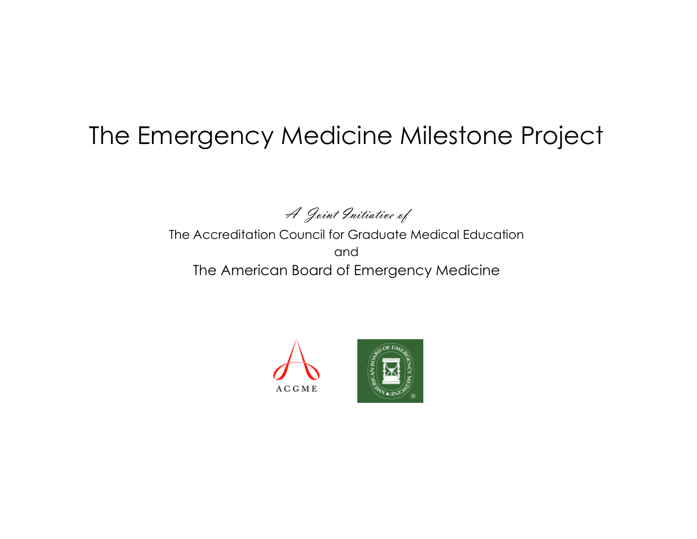# The Emergency Medicine Milestone Project

A Joint Initiative of

The Accreditation Council for Graduate Medical Education and The American Board of Emergency Medicine



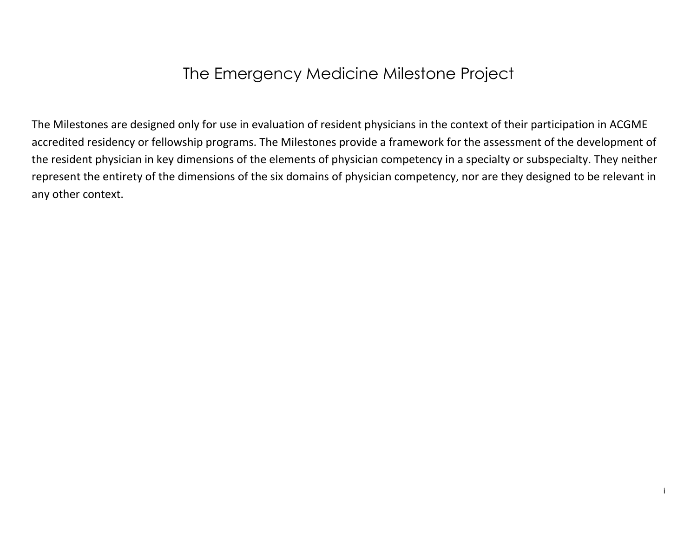# The Emergency Medicine Milestone Project

The Milestones are designed only for use in evaluation of resident physicians in the context of their participation in ACGME accredited residency or fellowship programs. The Milestones provide a framework for the assessment of the development of the resident physician in key dimensions of the elements of physician competency in a specialty or subspecialty. They neither represent the entirety of the dimensions of the six domains of physician competency, nor are they designed to be relevant in any other context.

i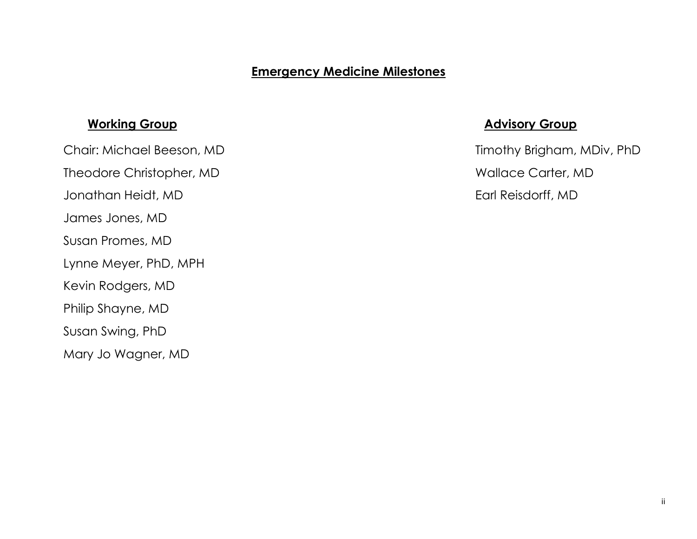# **Emergency Medicine Milestones**

Theodore Christopher, MD Wallace Carter, MD

Jonathan Heidt, MD Earl Reisdorff, MD

James Jones, MD

Susan Promes, MD

Lynne Meyer, PhD, MPH

Kevin Rodgers, MD

Philip Shayne, MD

Susan Swing, PhD

Mary Jo Wagner, MD

## **Working Group Advisory Group**

Chair: Michael Beeson, MD Timothy Brigham, MDiv, PhD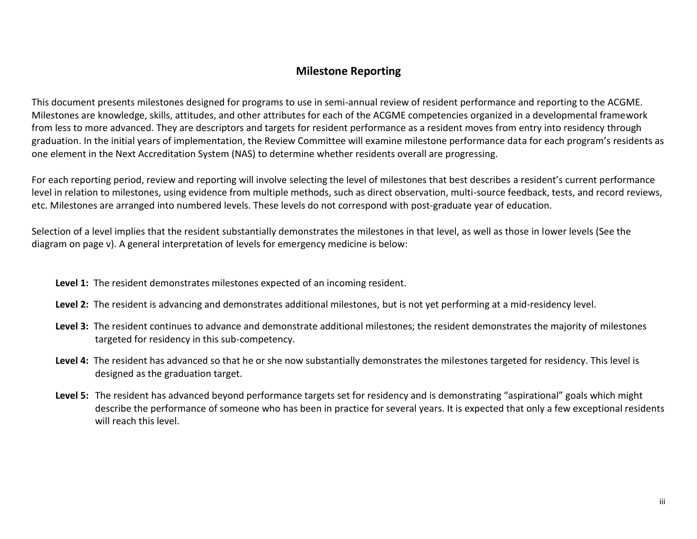### **Milestone Reporting**

This document presents milestones designed for programs to use in semi-annual review of resident performance and reporting to the ACGME. Milestones are knowledge, skills, attitudes, and other attributes for each of the ACGME competencies organized in a developmental framework from less to more advanced. They are descriptors and targets for resident performance as a resident moves from entry into residency through graduation. In the initial years of implementation, the Review Committee will examine milestone performance data for each program's residents as one element in the Next Accreditation System (NAS) to determine whether residents overall are progressing.

For each reporting period, review and reporting will involve selecting the level of milestones that best describes a resident's current performance level in relation to milestones, using evidence from multiple methods, such as direct observation, multi-source feedback, tests, and record reviews, etc. Milestones are arranged into numbered levels. These levels do not correspond with post-graduate year of education.

Selection of a level implies that the resident substantially demonstrates the milestones in that level, as well as those in lower levels (See the diagram on page v). A general interpretation of levels for emergency medicine is below:

- **Level 1:** The resident demonstrates milestones expected of an incoming resident.
- **Level 2:** The resident is advancing and demonstrates additional milestones, but is not yet performing at a mid-residency level.
- **Level 3:** The resident continues to advance and demonstrate additional milestones; the resident demonstrates the majority of milestones targeted for residency in this sub-competency.
- **Level 4:** The resident has advanced so that he or she now substantially demonstrates the milestones targeted for residency. This level is designed as the graduation target.
- **Level 5:** The resident has advanced beyond performance targets set for residency and is demonstrating "aspirational" goals which might describe the performance of someone who has been in practice for several years. It is expected that only a few exceptional residents will reach this level.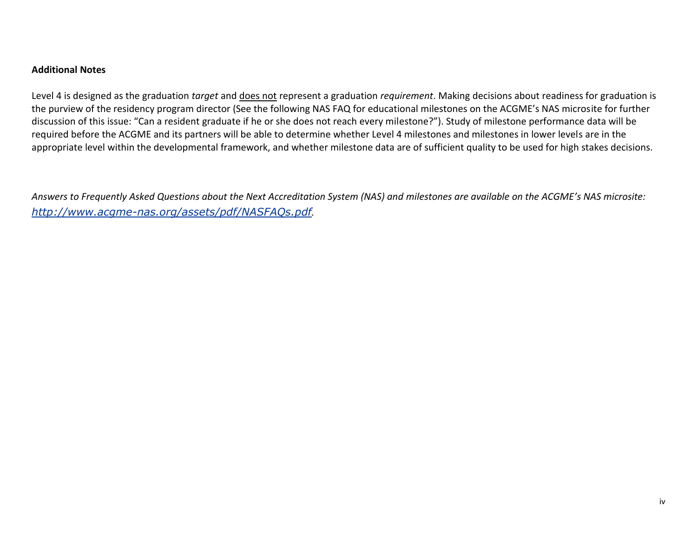#### **Additional Notes**

Level 4 is designed as the graduation *target* and does not represent a graduation *requirement*. Making decisions about readiness for graduation is the purview of the residency program director (See the following NAS FAQ for educational milestones on the ACGME's NAS microsite for further discussion of this issue: "Can a resident graduate if he or she does not reach every milestone?"). Study of milestone performance data will be required before the ACGME and its partners will be able to determine whether Level 4 milestones and milestones in lower levels are in the appropriate level within the developmental framework, and whether milestone data are of sufficient quality to be used for high stakes decisions.

*Answers to Frequently Asked Questions about the Next Accreditation System (NAS) and milestones are available on the ACGME's NAS microsite: <http://www.acgme-nas.org/assets/pdf/NASFAQs.pdf>.*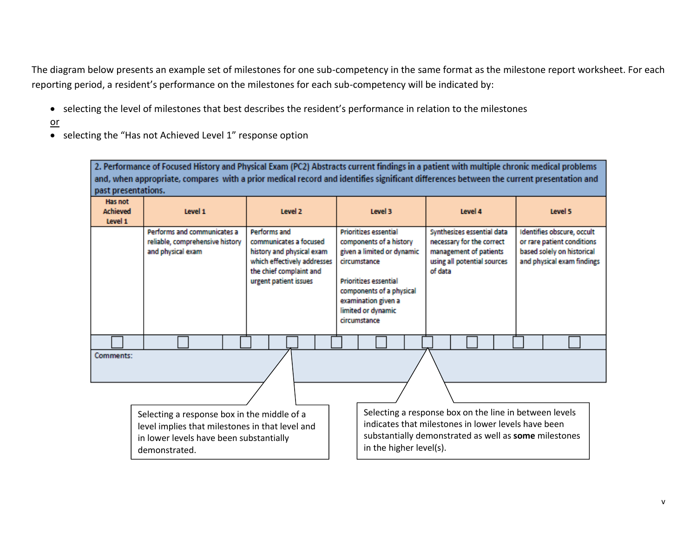The diagram below presents an example set of milestones for one sub-competency in the same format as the milestone report worksheet. For each reporting period, a resident's performance on the milestones for each sub-competency will be indicated by:

- selecting the level of milestones that best describes the resident's performance in relation to the milestones
- or
- selecting the "Has not Achieved Level 1" response option

2. Performance of Focused History and Physical Exam (PC2) Abstracts current findings in a patient with multiple chronic medical problems and, when appropriate, compares with a prior medical record and identifies significant differences between the current presentation and past presentations.

| Has not<br><b>Achieved</b><br>Level 1 |                                                                                                                                                            | Level 1 |  |                                                                                                                         | Level 2 |                             |                                                                                                                                                                                                                                | Level 3                 |         | Level 4 |                                                                                                                  |                                                                                                                                                                               | Level 5                                                                                |                            |
|---------------------------------------|------------------------------------------------------------------------------------------------------------------------------------------------------------|---------|--|-------------------------------------------------------------------------------------------------------------------------|---------|-----------------------------|--------------------------------------------------------------------------------------------------------------------------------------------------------------------------------------------------------------------------------|-------------------------|---------|---------|------------------------------------------------------------------------------------------------------------------|-------------------------------------------------------------------------------------------------------------------------------------------------------------------------------|----------------------------------------------------------------------------------------|----------------------------|
|                                       | Performs and communicates a<br>reliable, comprehensive history<br>and physical exam                                                                        |         |  | Performs and<br>communicates a focused<br>history and physical exam<br>the chief complaint and<br>urgent patient issues |         | which effectively addresses | <b>Prioritizes essential</b><br>components of a history<br>given a limited or dynamic<br>circumstance<br><b>Prioritizes essential</b><br>components of a physical<br>examination given a<br>limited or dynamic<br>circumstance |                         | of data |         | Synthesizes essential data<br>necessary for the correct<br>management of patients<br>using all potential sources |                                                                                                                                                                               | Identifies obscure, occult<br>or rare patient conditions<br>based solely on historical | and physical exam findings |
|                                       |                                                                                                                                                            |         |  |                                                                                                                         |         |                             |                                                                                                                                                                                                                                |                         |         |         |                                                                                                                  |                                                                                                                                                                               |                                                                                        |                            |
| Comments:                             |                                                                                                                                                            |         |  |                                                                                                                         |         |                             |                                                                                                                                                                                                                                |                         |         |         |                                                                                                                  |                                                                                                                                                                               |                                                                                        |                            |
|                                       |                                                                                                                                                            |         |  |                                                                                                                         |         |                             |                                                                                                                                                                                                                                |                         |         |         |                                                                                                                  |                                                                                                                                                                               |                                                                                        |                            |
|                                       | Selecting a response box in the middle of a<br>level implies that milestones in that level and<br>in lower levels have been substantially<br>demonstrated. |         |  |                                                                                                                         |         |                             |                                                                                                                                                                                                                                | in the higher level(s). |         |         |                                                                                                                  | Selecting a response box on the line in between levels<br>indicates that milestones in lower levels have been<br>substantially demonstrated as well as <b>some</b> milestones |                                                                                        |                            |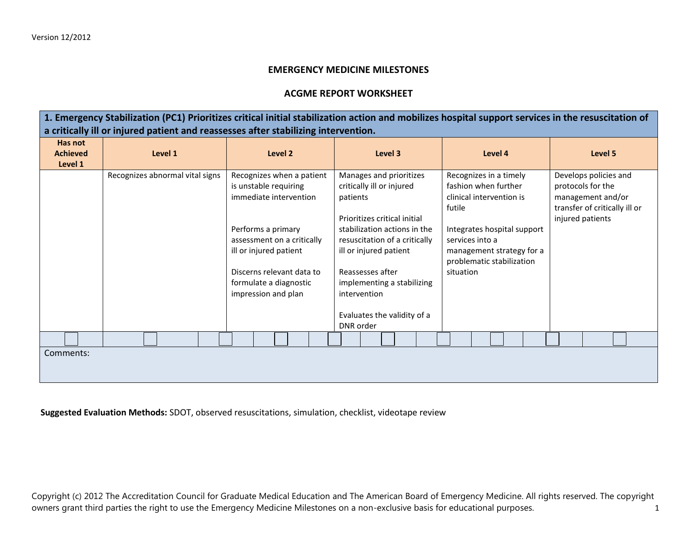#### **EMERGENCY MEDICINE MILESTONES**

#### **ACGME REPORT WORKSHEET**

**1. Emergency Stabilization (PC1) Prioritizes critical initial stabilization action and mobilizes hospital support services in the resuscitation of a critically ill or injured patient and reassesses after stabilizing intervention.**

| Has not<br><b>Achieved</b><br>Level 1 | Level 1                         | Level 2                                                                                                                                                  | Level 3                                                                                                                                                                                                                               | Level 4                                                                                                               | Level 5                                                                                          |
|---------------------------------------|---------------------------------|----------------------------------------------------------------------------------------------------------------------------------------------------------|---------------------------------------------------------------------------------------------------------------------------------------------------------------------------------------------------------------------------------------|-----------------------------------------------------------------------------------------------------------------------|--------------------------------------------------------------------------------------------------|
|                                       | Recognizes abnormal vital signs | Recognizes when a patient<br>is unstable requiring<br>immediate intervention                                                                             | Manages and prioritizes<br>critically ill or injured<br>patients                                                                                                                                                                      | Recognizes in a timely<br>fashion when further<br>clinical intervention is<br>futile                                  | Develops policies and<br>protocols for the<br>management and/or<br>transfer of critically ill or |
|                                       |                                 | Performs a primary<br>assessment on a critically<br>ill or injured patient<br>Discerns relevant data to<br>formulate a diagnostic<br>impression and plan | Prioritizes critical initial<br>stabilization actions in the<br>resuscitation of a critically<br>ill or injured patient<br>Reassesses after<br>implementing a stabilizing<br>intervention<br>Evaluates the validity of a<br>DNR order | Integrates hospital support<br>services into a<br>management strategy for a<br>problematic stabilization<br>situation | injured patients                                                                                 |
|                                       |                                 |                                                                                                                                                          |                                                                                                                                                                                                                                       |                                                                                                                       |                                                                                                  |
| Comments:                             |                                 |                                                                                                                                                          |                                                                                                                                                                                                                                       |                                                                                                                       |                                                                                                  |

 **Suggested Evaluation Methods:** SDOT, observed resuscitations, simulation, checklist, videotape review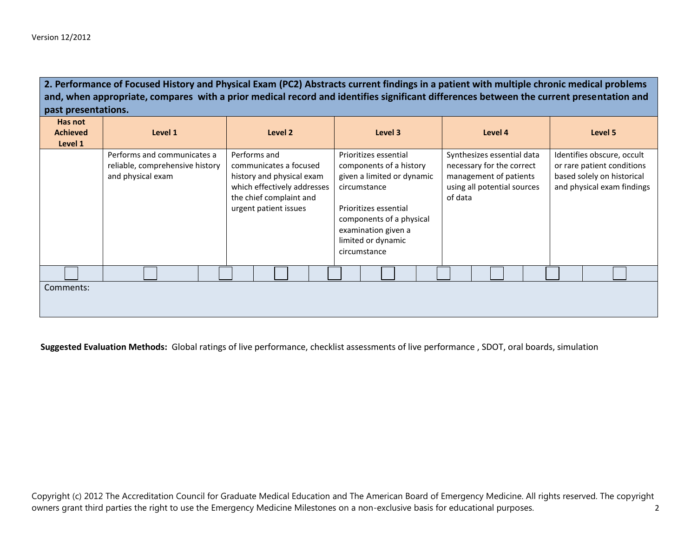**2. Performance of Focused History and Physical Exam (PC2) Abstracts current findings in a patient with multiple chronic medical problems and, when appropriate, compares with a prior medical record and identifies significant differences between the current presentation and past presentations.**

| Has not<br><b>Achieved</b><br>Level 1 | Level 1                                                                             | Level 2                                                                                                                                                | Level 3                                                                                                                                                                                                          | Level 4                                                                                                                     | Level 5                                                                                                              |
|---------------------------------------|-------------------------------------------------------------------------------------|--------------------------------------------------------------------------------------------------------------------------------------------------------|------------------------------------------------------------------------------------------------------------------------------------------------------------------------------------------------------------------|-----------------------------------------------------------------------------------------------------------------------------|----------------------------------------------------------------------------------------------------------------------|
|                                       | Performs and communicates a<br>reliable, comprehensive history<br>and physical exam | Performs and<br>communicates a focused<br>history and physical exam<br>which effectively addresses<br>the chief complaint and<br>urgent patient issues | Prioritizes essential<br>components of a history<br>given a limited or dynamic<br>circumstance<br>Prioritizes essential<br>components of a physical<br>examination given a<br>limited or dynamic<br>circumstance | Synthesizes essential data<br>necessary for the correct<br>management of patients<br>using all potential sources<br>of data | Identifies obscure, occult<br>or rare patient conditions<br>based solely on historical<br>and physical exam findings |
|                                       |                                                                                     |                                                                                                                                                        |                                                                                                                                                                                                                  |                                                                                                                             |                                                                                                                      |
| Comments:                             |                                                                                     |                                                                                                                                                        |                                                                                                                                                                                                                  |                                                                                                                             |                                                                                                                      |

 **Suggested Evaluation Methods:** Global ratings of live performance, checklist assessments of live performance , SDOT, oral boards, simulation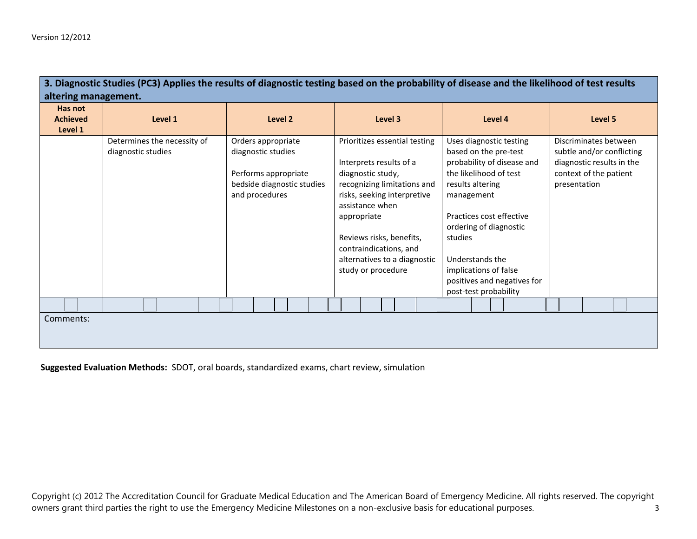|                      | 3. Diagnostic Studies (PC3) Applies the results of diagnostic testing based on the probability of disease and the likelihood of test results |                            |                               |                             |                           |
|----------------------|----------------------------------------------------------------------------------------------------------------------------------------------|----------------------------|-------------------------------|-----------------------------|---------------------------|
| altering management. |                                                                                                                                              |                            |                               |                             |                           |
| Has not              |                                                                                                                                              |                            |                               |                             |                           |
| <b>Achieved</b>      | Level 1                                                                                                                                      | Level 2                    | Level 3                       | Level 4                     | Level 5                   |
| Level 1              |                                                                                                                                              |                            |                               |                             |                           |
|                      | Determines the necessity of                                                                                                                  | Orders appropriate         | Prioritizes essential testing | Uses diagnostic testing     | Discriminates between     |
|                      | diagnostic studies                                                                                                                           | diagnostic studies         |                               | based on the pre-test       | subtle and/or conflicting |
|                      |                                                                                                                                              |                            | Interprets results of a       | probability of disease and  | diagnostic results in the |
|                      |                                                                                                                                              | Performs appropriate       | diagnostic study,             | the likelihood of test      | context of the patient    |
|                      |                                                                                                                                              | bedside diagnostic studies | recognizing limitations and   | results altering            | presentation              |
|                      |                                                                                                                                              | and procedures             | risks, seeking interpretive   | management                  |                           |
|                      |                                                                                                                                              |                            | assistance when               |                             |                           |
|                      |                                                                                                                                              |                            | appropriate                   | Practices cost effective    |                           |
|                      |                                                                                                                                              |                            |                               | ordering of diagnostic      |                           |
|                      |                                                                                                                                              |                            | Reviews risks, benefits,      | studies                     |                           |
|                      |                                                                                                                                              |                            | contraindications, and        |                             |                           |
|                      |                                                                                                                                              |                            | alternatives to a diagnostic  | Understands the             |                           |
|                      |                                                                                                                                              |                            | study or procedure            | implications of false       |                           |
|                      |                                                                                                                                              |                            |                               | positives and negatives for |                           |
|                      |                                                                                                                                              |                            |                               | post-test probability       |                           |
|                      |                                                                                                                                              |                            |                               |                             |                           |
| Comments:            |                                                                                                                                              |                            |                               |                             |                           |
|                      |                                                                                                                                              |                            |                               |                             |                           |
|                      |                                                                                                                                              |                            |                               |                             |                           |
|                      |                                                                                                                                              |                            |                               |                             |                           |

 **Suggested Evaluation Methods:** SDOT, oral boards, standardized exams, chart review, simulation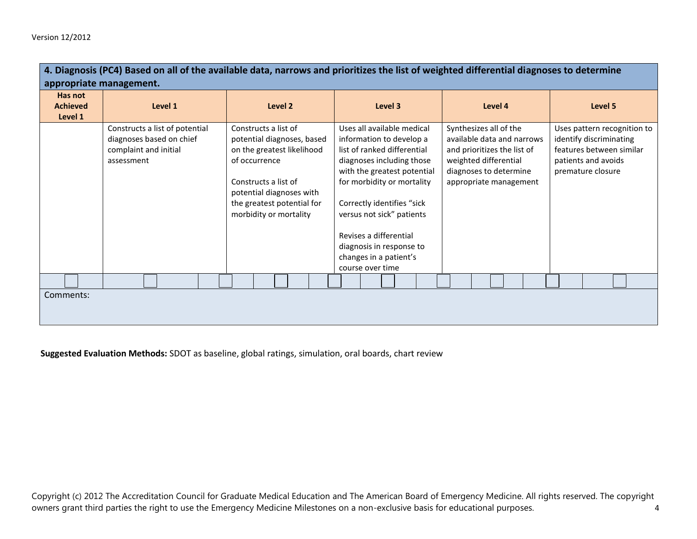| appropriate management.               |                                                                                                   |         |  |                                                                                                                                                                                                               |  |  |                                                                                                                                                                                                                                                                                                                                                |         |  |                                                                                                                                                                  |         |  |                                                                                                                                |         |  |
|---------------------------------------|---------------------------------------------------------------------------------------------------|---------|--|---------------------------------------------------------------------------------------------------------------------------------------------------------------------------------------------------------------|--|--|------------------------------------------------------------------------------------------------------------------------------------------------------------------------------------------------------------------------------------------------------------------------------------------------------------------------------------------------|---------|--|------------------------------------------------------------------------------------------------------------------------------------------------------------------|---------|--|--------------------------------------------------------------------------------------------------------------------------------|---------|--|
| Has not<br><b>Achieved</b><br>Level 1 |                                                                                                   | Level 1 |  | Level 2                                                                                                                                                                                                       |  |  |                                                                                                                                                                                                                                                                                                                                                | Level 3 |  |                                                                                                                                                                  | Level 4 |  |                                                                                                                                | Level 5 |  |
|                                       | Constructs a list of potential<br>diagnoses based on chief<br>complaint and initial<br>assessment |         |  | Constructs a list of<br>potential diagnoses, based<br>on the greatest likelihood<br>of occurrence<br>Constructs a list of<br>potential diagnoses with<br>the greatest potential for<br>morbidity or mortality |  |  | Uses all available medical<br>information to develop a<br>list of ranked differential<br>diagnoses including those<br>with the greatest potential<br>for morbidity or mortality<br>Correctly identifies "sick<br>versus not sick" patients<br>Revises a differential<br>diagnosis in response to<br>changes in a patient's<br>course over time |         |  | Synthesizes all of the<br>available data and narrows<br>and prioritizes the list of<br>weighted differential<br>diagnoses to determine<br>appropriate management |         |  | Uses pattern recognition to<br>identify discriminating<br>features between similar<br>patients and avoids<br>premature closure |         |  |
|                                       |                                                                                                   |         |  |                                                                                                                                                                                                               |  |  |                                                                                                                                                                                                                                                                                                                                                |         |  |                                                                                                                                                                  |         |  |                                                                                                                                |         |  |
| Comments:                             |                                                                                                   |         |  |                                                                                                                                                                                                               |  |  |                                                                                                                                                                                                                                                                                                                                                |         |  |                                                                                                                                                                  |         |  |                                                                                                                                |         |  |

**4. Diagnosis (PC4) Based on all of the available data, narrows and prioritizes the list of weighted differential diagnoses to determine** 

 **Suggested Evaluation Methods:** SDOT as baseline, global ratings, simulation, oral boards, chart review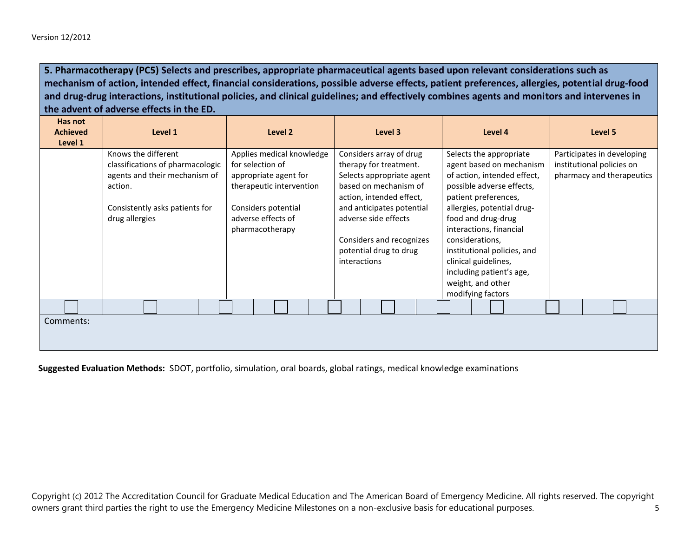**5. Pharmacotherapy (PC5) Selects and prescribes, appropriate pharmaceutical agents based upon relevant considerations such as mechanism of action, intended effect, financial considerations, possible adverse effects, patient preferences, allergies, potential drug-food and drug-drug interactions, institutional policies, and clinical guidelines; and effectively combines agents and monitors and intervenes in the advent of adverse effects in the ED.**

| Has not<br><b>Achieved</b><br>Level 1 | Level 1                                                                                                                                                 | Level 2                                                                                                                                                            | Level 3                                                                                                                                                                                                              | Level 4                                                                                                                                                                                                                                   | Level 5                                                                              |
|---------------------------------------|---------------------------------------------------------------------------------------------------------------------------------------------------------|--------------------------------------------------------------------------------------------------------------------------------------------------------------------|----------------------------------------------------------------------------------------------------------------------------------------------------------------------------------------------------------------------|-------------------------------------------------------------------------------------------------------------------------------------------------------------------------------------------------------------------------------------------|--------------------------------------------------------------------------------------|
|                                       | Knows the different<br>classifications of pharmacologic<br>agents and their mechanism of<br>action.<br>Consistently asks patients for<br>drug allergies | Applies medical knowledge<br>for selection of<br>appropriate agent for<br>therapeutic intervention<br>Considers potential<br>adverse effects of<br>pharmacotherapy | Considers array of drug<br>therapy for treatment.<br>Selects appropriate agent<br>based on mechanism of<br>action, intended effect,<br>and anticipates potential<br>adverse side effects<br>Considers and recognizes | Selects the appropriate<br>agent based on mechanism<br>of action, intended effect,<br>possible adverse effects,<br>patient preferences,<br>allergies, potential drug-<br>food and drug-drug<br>interactions, financial<br>considerations, | Participates in developing<br>institutional policies on<br>pharmacy and therapeutics |
|                                       |                                                                                                                                                         |                                                                                                                                                                    | potential drug to drug<br>interactions                                                                                                                                                                               | institutional policies, and<br>clinical guidelines,<br>including patient's age,<br>weight, and other<br>modifying factors                                                                                                                 |                                                                                      |
| Comments:                             |                                                                                                                                                         |                                                                                                                                                                    |                                                                                                                                                                                                                      |                                                                                                                                                                                                                                           |                                                                                      |
|                                       |                                                                                                                                                         |                                                                                                                                                                    |                                                                                                                                                                                                                      |                                                                                                                                                                                                                                           |                                                                                      |

 **Suggested Evaluation Methods:** SDOT, portfolio, simulation, oral boards, global ratings, medical knowledge examinations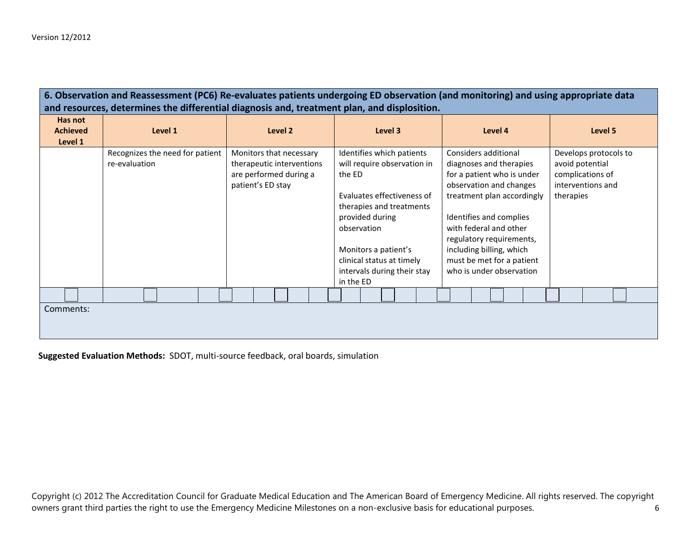|                            | 6. Observation and Reassessment (PC6) Re-evaluates patients undergoing ED observation (and monitoring) and using appropriate data |                                                                                                     |                                                                                                                                                                                                                                                                 |                                                                                                                                                                                                                                                                                                              |                                                                                                |
|----------------------------|-----------------------------------------------------------------------------------------------------------------------------------|-----------------------------------------------------------------------------------------------------|-----------------------------------------------------------------------------------------------------------------------------------------------------------------------------------------------------------------------------------------------------------------|--------------------------------------------------------------------------------------------------------------------------------------------------------------------------------------------------------------------------------------------------------------------------------------------------------------|------------------------------------------------------------------------------------------------|
|                            | and resources, determines the differential diagnosis and, treatment plan, and displosition.                                       |                                                                                                     |                                                                                                                                                                                                                                                                 |                                                                                                                                                                                                                                                                                                              |                                                                                                |
| Has not<br><b>Achieved</b> | Level 1                                                                                                                           | Level 2                                                                                             | Level 3                                                                                                                                                                                                                                                         | Level 4                                                                                                                                                                                                                                                                                                      | Level 5                                                                                        |
| Level 1                    |                                                                                                                                   |                                                                                                     |                                                                                                                                                                                                                                                                 |                                                                                                                                                                                                                                                                                                              |                                                                                                |
|                            | Recognizes the need for patient<br>re-evaluation                                                                                  | Monitors that necessary<br>therapeutic interventions<br>are performed during a<br>patient's ED stay | Identifies which patients<br>will require observation in<br>the ED<br>Evaluates effectiveness of<br>therapies and treatments<br>provided during<br>observation<br>Monitors a patient's<br>clinical status at timely<br>intervals during their stay<br>in the ED | Considers additional<br>diagnoses and therapies<br>for a patient who is under<br>observation and changes<br>treatment plan accordingly<br>Identifies and complies<br>with federal and other<br>regulatory requirements,<br>including billing, which<br>must be met for a patient<br>who is under observation | Develops protocols to<br>avoid potential<br>complications of<br>interventions and<br>therapies |
|                            |                                                                                                                                   |                                                                                                     |                                                                                                                                                                                                                                                                 |                                                                                                                                                                                                                                                                                                              |                                                                                                |
| Comments:                  |                                                                                                                                   |                                                                                                     |                                                                                                                                                                                                                                                                 |                                                                                                                                                                                                                                                                                                              |                                                                                                |

 **Suggested Evaluation Methods:** SDOT, multi-source feedback, oral boards, simulation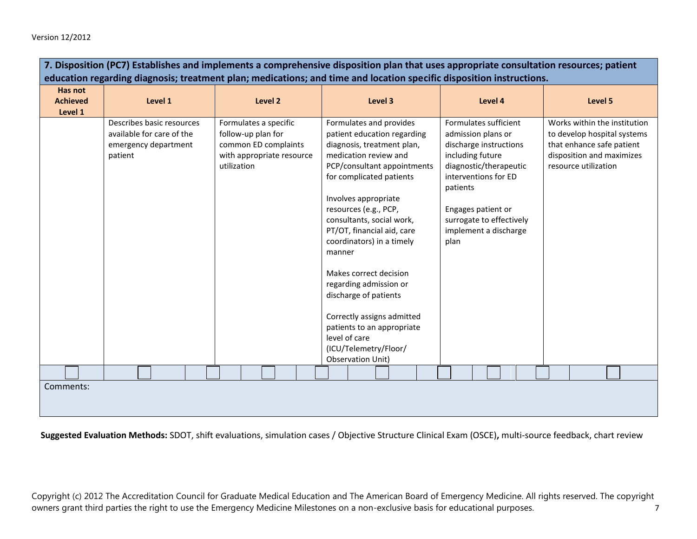|                                       |                                                                                           |                                                                                                                 | 7. Disposition (PC7) Establishes and implements a comprehensive disposition plan that uses appropriate consultation resources; patient<br>education regarding diagnosis; treatment plan; medications; and time and location specific disposition instructions.                                                                                                                                                                                                                                                                             |                                                                                                                                                                                                                                            |                                                                                                                                               |
|---------------------------------------|-------------------------------------------------------------------------------------------|-----------------------------------------------------------------------------------------------------------------|--------------------------------------------------------------------------------------------------------------------------------------------------------------------------------------------------------------------------------------------------------------------------------------------------------------------------------------------------------------------------------------------------------------------------------------------------------------------------------------------------------------------------------------------|--------------------------------------------------------------------------------------------------------------------------------------------------------------------------------------------------------------------------------------------|-----------------------------------------------------------------------------------------------------------------------------------------------|
| Has not<br><b>Achieved</b><br>Level 1 | Level 1                                                                                   | Level 2                                                                                                         | Level 3                                                                                                                                                                                                                                                                                                                                                                                                                                                                                                                                    | Level 4                                                                                                                                                                                                                                    | Level 5                                                                                                                                       |
|                                       | Describes basic resources<br>available for care of the<br>emergency department<br>patient | Formulates a specific<br>follow-up plan for<br>common ED complaints<br>with appropriate resource<br>utilization | Formulates and provides<br>patient education regarding<br>diagnosis, treatment plan,<br>medication review and<br>PCP/consultant appointments<br>for complicated patients<br>Involves appropriate<br>resources (e.g., PCP,<br>consultants, social work,<br>PT/OT, financial aid, care<br>coordinators) in a timely<br>manner<br>Makes correct decision<br>regarding admission or<br>discharge of patients<br>Correctly assigns admitted<br>patients to an appropriate<br>level of care<br>(ICU/Telemetry/Floor/<br><b>Observation Unit)</b> | Formulates sufficient<br>admission plans or<br>discharge instructions<br>including future<br>diagnostic/therapeutic<br>interventions for ED<br>patients<br>Engages patient or<br>surrogate to effectively<br>implement a discharge<br>plan | Works within the institution<br>to develop hospital systems<br>that enhance safe patient<br>disposition and maximizes<br>resource utilization |
|                                       |                                                                                           |                                                                                                                 |                                                                                                                                                                                                                                                                                                                                                                                                                                                                                                                                            |                                                                                                                                                                                                                                            |                                                                                                                                               |
| Comments:                             |                                                                                           |                                                                                                                 |                                                                                                                                                                                                                                                                                                                                                                                                                                                                                                                                            |                                                                                                                                                                                                                                            |                                                                                                                                               |

 **Suggested Evaluation Methods:** SDOT, shift evaluations, simulation cases / Objective Structure Clinical Exam (OSCE)**,** multi-source feedback, chart review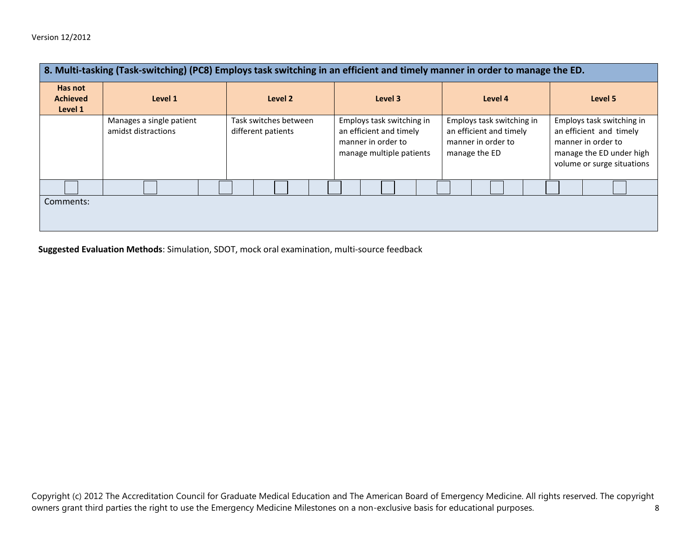| 8. Multi-tasking (Task-switching) (PC8) Employs task switching in an efficient and timely manner in order to manage the ED. |                                                 |         |  |                                             |  |                                                                                                        |                                     |                                                      |  |                                               |                                                                                     |
|-----------------------------------------------------------------------------------------------------------------------------|-------------------------------------------------|---------|--|---------------------------------------------|--|--------------------------------------------------------------------------------------------------------|-------------------------------------|------------------------------------------------------|--|-----------------------------------------------|-------------------------------------------------------------------------------------|
| Has not<br><b>Achieved</b><br>Level 1                                                                                       |                                                 | Level 1 |  | Level 2                                     |  | Level 3                                                                                                |                                     | Level 4                                              |  | Level 5                                       |                                                                                     |
|                                                                                                                             | Manages a single patient<br>amidst distractions |         |  | Task switches between<br>different patients |  | Employs task switching in<br>an efficient and timely<br>manner in order to<br>manage multiple patients | manner in order to<br>manage the ED | Employs task switching in<br>an efficient and timely |  | an efficient and timely<br>manner in order to | Employs task switching in<br>manage the ED under high<br>volume or surge situations |
|                                                                                                                             |                                                 |         |  |                                             |  |                                                                                                        |                                     |                                                      |  |                                               |                                                                                     |
| Comments:                                                                                                                   |                                                 |         |  |                                             |  |                                                                                                        |                                     |                                                      |  |                                               |                                                                                     |

 **Suggested Evaluation Methods**: Simulation, SDOT, mock oral examination, multi-source feedback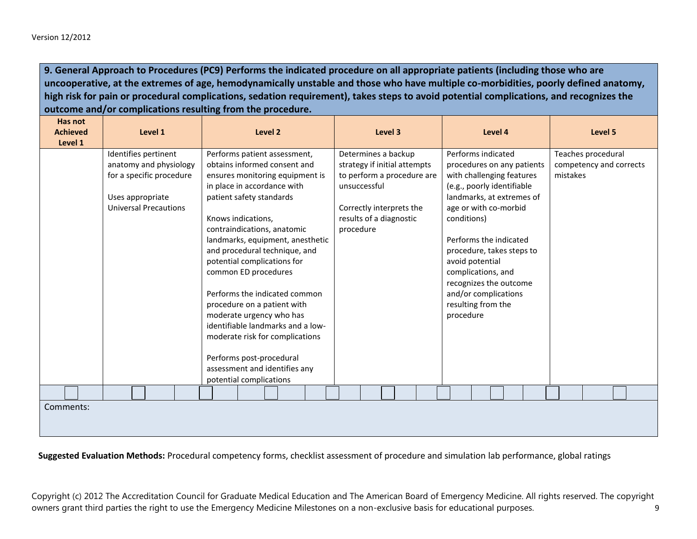**9. General Approach to Procedures (PC9) Performs the indicated procedure on all appropriate patients (including those who are uncooperative, at the extremes of age, hemodynamically unstable and those who have multiple co-morbidities, poorly defined anatomy, high risk for pain or procedural complications, sedation requirement), takes steps to avoid potential complications, and recognizes the outcome and/or complications resulting from the procedure.**

| Has not<br><b>Achieved</b><br>Level 1 | Level 1                                                                                                                        | Level 2                                                                                                                                                                                                                                                                                                                                                                                                                                                                                                                                                                                                 | Level 3                                                                                                                                                               | Level 4                                                                                                                                                                                                                                                                                                                                                               | Level 5                                                   |
|---------------------------------------|--------------------------------------------------------------------------------------------------------------------------------|---------------------------------------------------------------------------------------------------------------------------------------------------------------------------------------------------------------------------------------------------------------------------------------------------------------------------------------------------------------------------------------------------------------------------------------------------------------------------------------------------------------------------------------------------------------------------------------------------------|-----------------------------------------------------------------------------------------------------------------------------------------------------------------------|-----------------------------------------------------------------------------------------------------------------------------------------------------------------------------------------------------------------------------------------------------------------------------------------------------------------------------------------------------------------------|-----------------------------------------------------------|
|                                       | Identifies pertinent<br>anatomy and physiology<br>for a specific procedure<br>Uses appropriate<br><b>Universal Precautions</b> | Performs patient assessment,<br>obtains informed consent and<br>ensures monitoring equipment is<br>in place in accordance with<br>patient safety standards<br>Knows indications.<br>contraindications, anatomic<br>landmarks, equipment, anesthetic<br>and procedural technique, and<br>potential complications for<br>common ED procedures<br>Performs the indicated common<br>procedure on a patient with<br>moderate urgency who has<br>identifiable landmarks and a low-<br>moderate risk for complications<br>Performs post-procedural<br>assessment and identifies any<br>potential complications | Determines a backup<br>strategy if initial attempts<br>to perform a procedure are<br>unsuccessful<br>Correctly interprets the<br>results of a diagnostic<br>procedure | Performs indicated<br>procedures on any patients<br>with challenging features<br>(e.g., poorly identifiable<br>landmarks, at extremes of<br>age or with co-morbid<br>conditions)<br>Performs the indicated<br>procedure, takes steps to<br>avoid potential<br>complications, and<br>recognizes the outcome<br>and/or complications<br>resulting from the<br>procedure | Teaches procedural<br>competency and corrects<br>mistakes |
|                                       |                                                                                                                                |                                                                                                                                                                                                                                                                                                                                                                                                                                                                                                                                                                                                         |                                                                                                                                                                       |                                                                                                                                                                                                                                                                                                                                                                       |                                                           |
| Comments:                             |                                                                                                                                |                                                                                                                                                                                                                                                                                                                                                                                                                                                                                                                                                                                                         |                                                                                                                                                                       |                                                                                                                                                                                                                                                                                                                                                                       |                                                           |

 **Suggested Evaluation Methods:** Procedural competency forms, checklist assessment of procedure and simulation lab performance, global ratings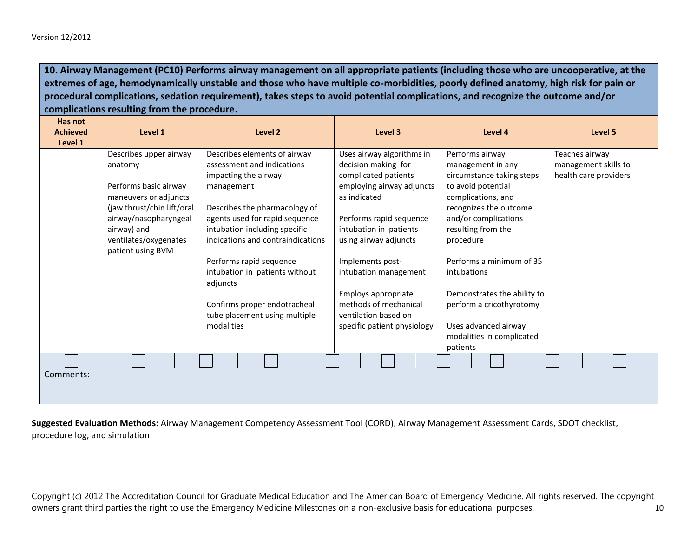**10. Airway Management (PC10) Performs airway management on all appropriate patients (including those who are uncooperative, at the extremes of age, hemodynamically unstable and those who have multiple co-morbidities, poorly defined anatomy, high risk for pain or procedural complications, sedation requirement), takes steps to avoid potential complications, and recognize the outcome and/or complications resulting from the procedure.**

| Has not<br><b>Achieved</b><br>Level 1 | Level 1                              | Level 2                                                            | Level 3                                           | Level 4                                         | Level 5               |
|---------------------------------------|--------------------------------------|--------------------------------------------------------------------|---------------------------------------------------|-------------------------------------------------|-----------------------|
|                                       | Describes upper airway               | Describes elements of airway                                       | Uses airway algorithms in                         | Performs airway                                 | Teaches airway        |
|                                       | anatomy                              | assessment and indications                                         | decision making for                               | management in any                               | management skills to  |
|                                       | Performs basic airway                | impacting the airway<br>management                                 | complicated patients<br>employing airway adjuncts | circumstance taking steps<br>to avoid potential | health care providers |
|                                       | maneuvers or adjuncts                |                                                                    | as indicated                                      | complications, and                              |                       |
|                                       | (jaw thrust/chin lift/oral           | Describes the pharmacology of                                      |                                                   | recognizes the outcome                          |                       |
|                                       | airway/nasopharyngeal                | agents used for rapid sequence                                     | Performs rapid sequence                           | and/or complications                            |                       |
|                                       | airway) and<br>ventilates/oxygenates | intubation including specific<br>indications and contraindications | intubation in patients                            | resulting from the                              |                       |
|                                       | patient using BVM                    |                                                                    | using airway adjuncts                             | procedure                                       |                       |
|                                       |                                      | Performs rapid sequence                                            | Implements post-                                  | Performs a minimum of 35                        |                       |
|                                       |                                      | intubation in patients without<br>adjuncts                         | intubation management                             | intubations                                     |                       |
|                                       |                                      |                                                                    | Employs appropriate                               | Demonstrates the ability to                     |                       |
|                                       |                                      | Confirms proper endotracheal                                       | methods of mechanical                             | perform a cricothyrotomy                        |                       |
|                                       |                                      | tube placement using multiple<br>modalities                        | ventilation based on                              | Uses advanced airway                            |                       |
|                                       |                                      |                                                                    | specific patient physiology                       | modalities in complicated                       |                       |
|                                       |                                      |                                                                    |                                                   | patients                                        |                       |
|                                       |                                      |                                                                    |                                                   |                                                 |                       |
| Comments:                             |                                      |                                                                    |                                                   |                                                 |                       |
|                                       |                                      |                                                                    |                                                   |                                                 |                       |
|                                       |                                      |                                                                    |                                                   |                                                 |                       |

**Suggested Evaluation Methods:** Airway Management Competency Assessment Tool (CORD), Airway Management Assessment Cards, SDOT checklist, procedure log, and simulation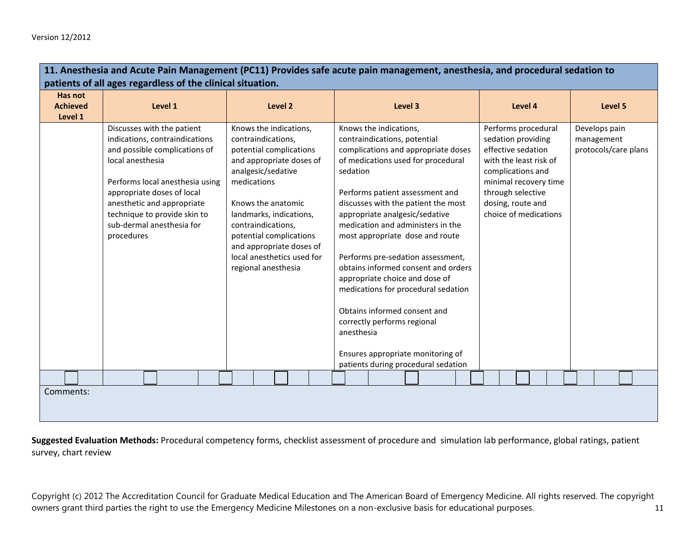| <b>Achieved</b><br>Level 1 | Level 1                                                                                                                                                                                                                                                                                     | Level 2                                                                                                                                                                                                                                                                                                                     | Level 3                                                                                                                                                                                                                                                                                                                                                                                                                                                                                                                                                                                                                                           | Level 4                                                                                                                                                                                                    | Level 5                                             |
|----------------------------|---------------------------------------------------------------------------------------------------------------------------------------------------------------------------------------------------------------------------------------------------------------------------------------------|-----------------------------------------------------------------------------------------------------------------------------------------------------------------------------------------------------------------------------------------------------------------------------------------------------------------------------|---------------------------------------------------------------------------------------------------------------------------------------------------------------------------------------------------------------------------------------------------------------------------------------------------------------------------------------------------------------------------------------------------------------------------------------------------------------------------------------------------------------------------------------------------------------------------------------------------------------------------------------------------|------------------------------------------------------------------------------------------------------------------------------------------------------------------------------------------------------------|-----------------------------------------------------|
|                            | Discusses with the patient<br>indications, contraindications<br>and possible complications of<br>local anesthesia<br>Performs local anesthesia using<br>appropriate doses of local<br>anesthetic and appropriate<br>technique to provide skin to<br>sub-dermal anesthesia for<br>procedures | Knows the indications,<br>contraindications,<br>potential complications<br>and appropriate doses of<br>analgesic/sedative<br>medications<br>Knows the anatomic<br>landmarks, indications,<br>contraindications,<br>potential complications<br>and appropriate doses of<br>local anesthetics used for<br>regional anesthesia | Knows the indications,<br>contraindications, potential<br>complications and appropriate doses<br>of medications used for procedural<br>sedation<br>Performs patient assessment and<br>discusses with the patient the most<br>appropriate analgesic/sedative<br>medication and administers in the<br>most appropriate dose and route<br>Performs pre-sedation assessment,<br>obtains informed consent and orders<br>appropriate choice and dose of<br>medications for procedural sedation<br>Obtains informed consent and<br>correctly performs regional<br>anesthesia<br>Ensures appropriate monitoring of<br>patients during procedural sedation | Performs procedural<br>sedation providing<br>effective sedation<br>with the least risk of<br>complications and<br>minimal recovery time<br>through selective<br>dosing, route and<br>choice of medications | Develops pain<br>management<br>protocols/care plans |
|                            |                                                                                                                                                                                                                                                                                             |                                                                                                                                                                                                                                                                                                                             |                                                                                                                                                                                                                                                                                                                                                                                                                                                                                                                                                                                                                                                   |                                                                                                                                                                                                            |                                                     |

**11. Anesthesia and Acute Pain Management (PC11) Provides safe acute pain management, anesthesia, and procedural sedation to** 

**Suggested Evaluation Methods:** Procedural competency forms, checklist assessment of procedure and simulation lab performance, global ratings, patient survey, chart review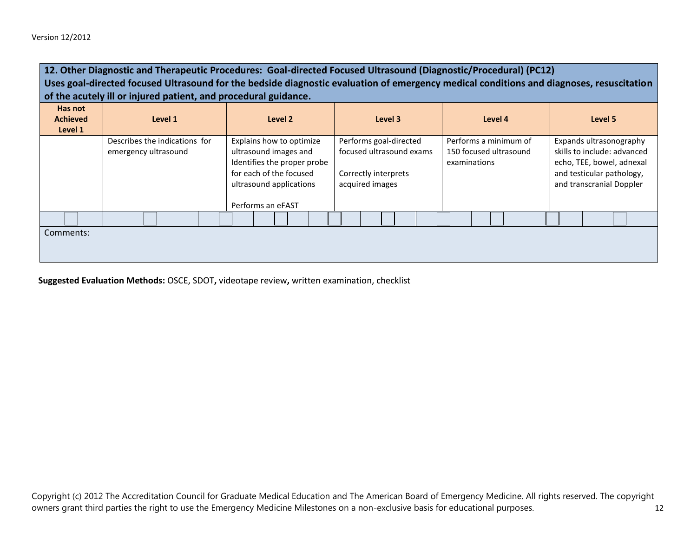**12. Other Diagnostic and Therapeutic Procedures: Goal-directed Focused Ultrasound (Diagnostic/Procedural) (PC12) Uses goal-directed focused Ultrasound for the bedside diagnostic evaluation of emergency medical conditions and diagnoses, resuscitation of the acutely ill or injured patient, and procedural guidance.**

| Has not<br><b>Achieved</b><br>Level 1 | Level 1                                               | Level 2                                                                                                                                                     | Level 3                                                                                       | Level 4                                                         | Level 5                                                                                                                                      |  |  |  |  |  |
|---------------------------------------|-------------------------------------------------------|-------------------------------------------------------------------------------------------------------------------------------------------------------------|-----------------------------------------------------------------------------------------------|-----------------------------------------------------------------|----------------------------------------------------------------------------------------------------------------------------------------------|--|--|--|--|--|
|                                       | Describes the indications for<br>emergency ultrasound | Explains how to optimize<br>ultrasound images and<br>Identifies the proper probe<br>for each of the focused<br>ultrasound applications<br>Performs an eFAST | Performs goal-directed<br>focused ultrasound exams<br>Correctly interprets<br>acquired images | Performs a minimum of<br>150 focused ultrasound<br>examinations | Expands ultrasonography<br>skills to include: advanced<br>echo, TEE, bowel, adnexal<br>and testicular pathology,<br>and transcranial Doppler |  |  |  |  |  |
| Comments:                             |                                                       |                                                                                                                                                             |                                                                                               |                                                                 |                                                                                                                                              |  |  |  |  |  |

 **Suggested Evaluation Methods:** OSCE, SDOT**,** videotape review**,** written examination, checklist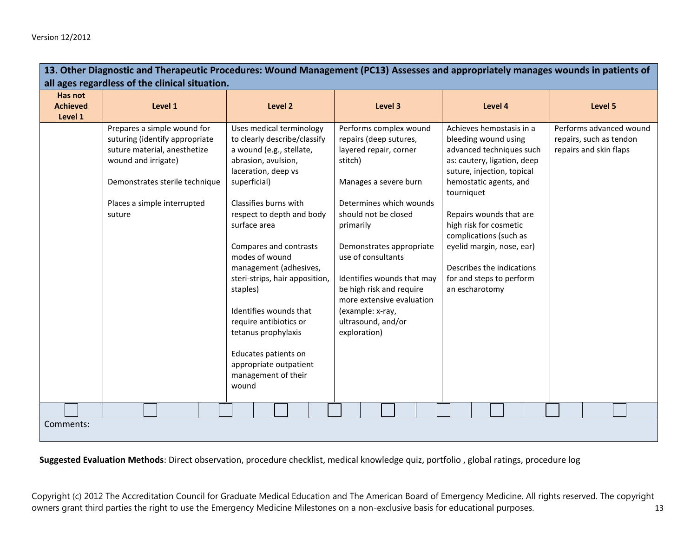|                                       | 13. Other Diagnostic and Therapeutic Procedures: Wound Management (PC13) Assesses and appropriately manages wounds in patients of<br>all ages regardless of the clinical situation.             |                                                                                                                                                                                                                                                                                                                                                                                                                                                                                                           |                                                                                                                                                                                                                                                                                                                                                                                   |                                                                                                                                                                                                                                                                                                                                                                          |                                                                              |
|---------------------------------------|-------------------------------------------------------------------------------------------------------------------------------------------------------------------------------------------------|-----------------------------------------------------------------------------------------------------------------------------------------------------------------------------------------------------------------------------------------------------------------------------------------------------------------------------------------------------------------------------------------------------------------------------------------------------------------------------------------------------------|-----------------------------------------------------------------------------------------------------------------------------------------------------------------------------------------------------------------------------------------------------------------------------------------------------------------------------------------------------------------------------------|--------------------------------------------------------------------------------------------------------------------------------------------------------------------------------------------------------------------------------------------------------------------------------------------------------------------------------------------------------------------------|------------------------------------------------------------------------------|
| Has not<br><b>Achieved</b><br>Level 1 | Level 1                                                                                                                                                                                         | Level 2                                                                                                                                                                                                                                                                                                                                                                                                                                                                                                   | Level 3                                                                                                                                                                                                                                                                                                                                                                           | Level 4                                                                                                                                                                                                                                                                                                                                                                  | Level 5                                                                      |
|                                       | Prepares a simple wound for<br>suturing (identify appropriate<br>suture material, anesthetize<br>wound and irrigate)<br>Demonstrates sterile technique<br>Places a simple interrupted<br>suture | Uses medical terminology<br>to clearly describe/classify<br>a wound (e.g., stellate,<br>abrasion, avulsion,<br>laceration, deep vs<br>superficial)<br>Classifies burns with<br>respect to depth and body<br>surface area<br>Compares and contrasts<br>modes of wound<br>management (adhesives,<br>steri-strips, hair apposition,<br>staples)<br>Identifies wounds that<br>require antibiotics or<br>tetanus prophylaxis<br>Educates patients on<br>appropriate outpatient<br>management of their<br>wound | Performs complex wound<br>repairs (deep sutures,<br>layered repair, corner<br>stitch)<br>Manages a severe burn<br>Determines which wounds<br>should not be closed<br>primarily<br>Demonstrates appropriate<br>use of consultants<br>Identifies wounds that may<br>be high risk and require<br>more extensive evaluation<br>(example: x-ray,<br>ultrasound, and/or<br>exploration) | Achieves hemostasis in a<br>bleeding wound using<br>advanced techniques such<br>as: cautery, ligation, deep<br>suture, injection, topical<br>hemostatic agents, and<br>tourniquet<br>Repairs wounds that are<br>high risk for cosmetic<br>complications (such as<br>eyelid margin, nose, ear)<br>Describes the indications<br>for and steps to perform<br>an escharotomy | Performs advanced wound<br>repairs, such as tendon<br>repairs and skin flaps |
|                                       |                                                                                                                                                                                                 |                                                                                                                                                                                                                                                                                                                                                                                                                                                                                                           |                                                                                                                                                                                                                                                                                                                                                                                   |                                                                                                                                                                                                                                                                                                                                                                          |                                                                              |
| Comments:                             |                                                                                                                                                                                                 |                                                                                                                                                                                                                                                                                                                                                                                                                                                                                                           |                                                                                                                                                                                                                                                                                                                                                                                   |                                                                                                                                                                                                                                                                                                                                                                          |                                                                              |

**13. Other Diagnostic and Therapeutic Procedures: Wound Management (PC13) Assesses and appropriately manages wounds in patients of** 

**Suggested Evaluation Methods**: Direct observation, procedure checklist, medical knowledge quiz, portfolio , global ratings, procedure log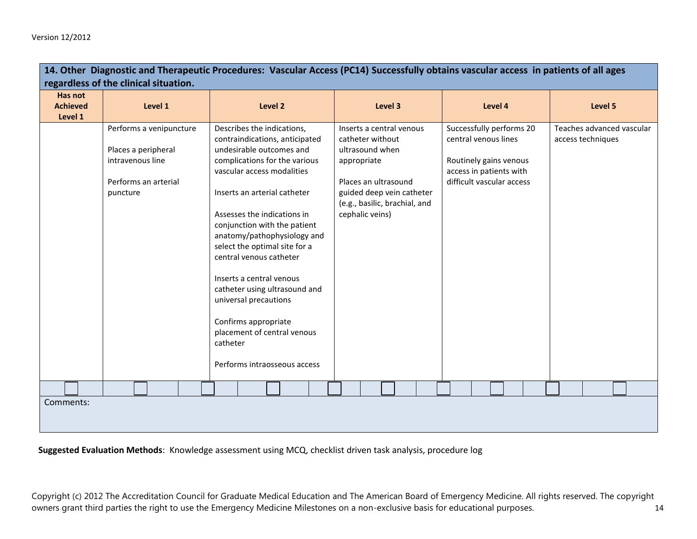|                                       | regardless of the clinical situation.                                                                  |                                                                                                                                                                                                                                                                                                                                                                                                                                                                                                                                            |                                                                                                                                                                                         |                                                                                                                                    |                                                |
|---------------------------------------|--------------------------------------------------------------------------------------------------------|--------------------------------------------------------------------------------------------------------------------------------------------------------------------------------------------------------------------------------------------------------------------------------------------------------------------------------------------------------------------------------------------------------------------------------------------------------------------------------------------------------------------------------------------|-----------------------------------------------------------------------------------------------------------------------------------------------------------------------------------------|------------------------------------------------------------------------------------------------------------------------------------|------------------------------------------------|
| Has not<br><b>Achieved</b><br>Level 1 | Level 1                                                                                                | Level 2                                                                                                                                                                                                                                                                                                                                                                                                                                                                                                                                    | Level 3                                                                                                                                                                                 | Level 4                                                                                                                            | Level 5                                        |
|                                       | Performs a venipuncture<br>Places a peripheral<br>intravenous line<br>Performs an arterial<br>puncture | Describes the indications,<br>contraindications, anticipated<br>undesirable outcomes and<br>complications for the various<br>vascular access modalities<br>Inserts an arterial catheter<br>Assesses the indications in<br>conjunction with the patient<br>anatomy/pathophysiology and<br>select the optimal site for a<br>central venous catheter<br>Inserts a central venous<br>catheter using ultrasound and<br>universal precautions<br>Confirms appropriate<br>placement of central venous<br>catheter<br>Performs intraosseous access | Inserts a central venous<br>catheter without<br>ultrasound when<br>appropriate<br>Places an ultrasound<br>guided deep vein catheter<br>(e.g., basilic, brachial, and<br>cephalic veins) | Successfully performs 20<br>central venous lines<br>Routinely gains venous<br>access in patients with<br>difficult vascular access | Teaches advanced vascular<br>access techniques |
|                                       |                                                                                                        |                                                                                                                                                                                                                                                                                                                                                                                                                                                                                                                                            |                                                                                                                                                                                         |                                                                                                                                    |                                                |
| Comments:                             |                                                                                                        |                                                                                                                                                                                                                                                                                                                                                                                                                                                                                                                                            |                                                                                                                                                                                         |                                                                                                                                    |                                                |

**14. Other Diagnostic and Therapeutic Procedures: Vascular Access (PC14) Successfully obtains vascular access in patients of all ages** 

 **Suggested Evaluation Methods**: Knowledge assessment using MCQ, checklist driven task analysis, procedure log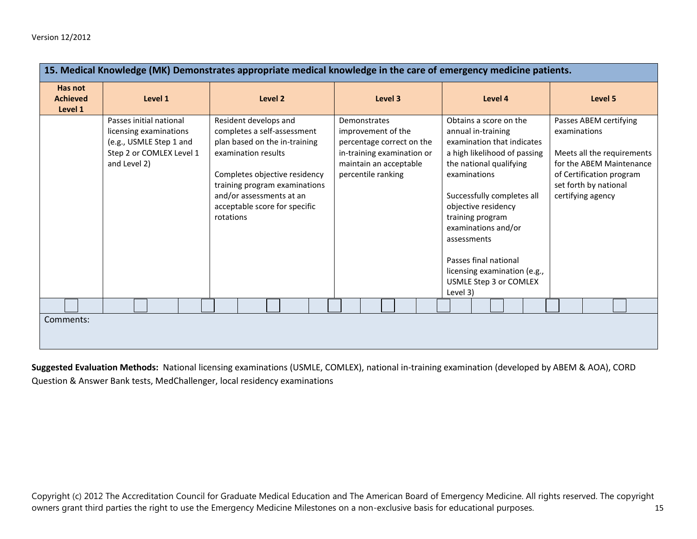|                                       |                                                                                                                          | 15. Medical Knowledge (MK) Demonstrates appropriate medical knowledge in the care of emergency medicine patients.                                                                                                                                        |                                                                                                                                               |                                                                                                                                                                                                                                                                                                                                                                     |                                                                                                                                                                            |
|---------------------------------------|--------------------------------------------------------------------------------------------------------------------------|----------------------------------------------------------------------------------------------------------------------------------------------------------------------------------------------------------------------------------------------------------|-----------------------------------------------------------------------------------------------------------------------------------------------|---------------------------------------------------------------------------------------------------------------------------------------------------------------------------------------------------------------------------------------------------------------------------------------------------------------------------------------------------------------------|----------------------------------------------------------------------------------------------------------------------------------------------------------------------------|
| Has not<br><b>Achieved</b><br>Level 1 | Level 1                                                                                                                  | Level 2                                                                                                                                                                                                                                                  | Level 3                                                                                                                                       | Level 4                                                                                                                                                                                                                                                                                                                                                             | Level 5                                                                                                                                                                    |
|                                       | Passes initial national<br>licensing examinations<br>(e.g., USMLE Step 1 and<br>Step 2 or COMLEX Level 1<br>and Level 2) | Resident develops and<br>completes a self-assessment<br>plan based on the in-training<br>examination results<br>Completes objective residency<br>training program examinations<br>and/or assessments at an<br>acceptable score for specific<br>rotations | Demonstrates<br>improvement of the<br>percentage correct on the<br>in-training examination or<br>maintain an acceptable<br>percentile ranking | Obtains a score on the<br>annual in-training<br>examination that indicates<br>a high likelihood of passing<br>the national qualifying<br>examinations<br>Successfully completes all<br>objective residency<br>training program<br>examinations and/or<br>assessments<br>Passes final national<br>licensing examination (e.g.,<br>USMLE Step 3 or COMLEX<br>Level 3) | Passes ABEM certifying<br>examinations<br>Meets all the requirements<br>for the ABEM Maintenance<br>of Certification program<br>set forth by national<br>certifying agency |
|                                       |                                                                                                                          |                                                                                                                                                                                                                                                          |                                                                                                                                               |                                                                                                                                                                                                                                                                                                                                                                     |                                                                                                                                                                            |
| Comments:                             |                                                                                                                          |                                                                                                                                                                                                                                                          |                                                                                                                                               |                                                                                                                                                                                                                                                                                                                                                                     |                                                                                                                                                                            |

**Suggested Evaluation Methods:** National licensing examinations (USMLE, COMLEX), national in-training examination (developed by ABEM & AOA), CORD Question & Answer Bank tests, MedChallenger, local residency examinations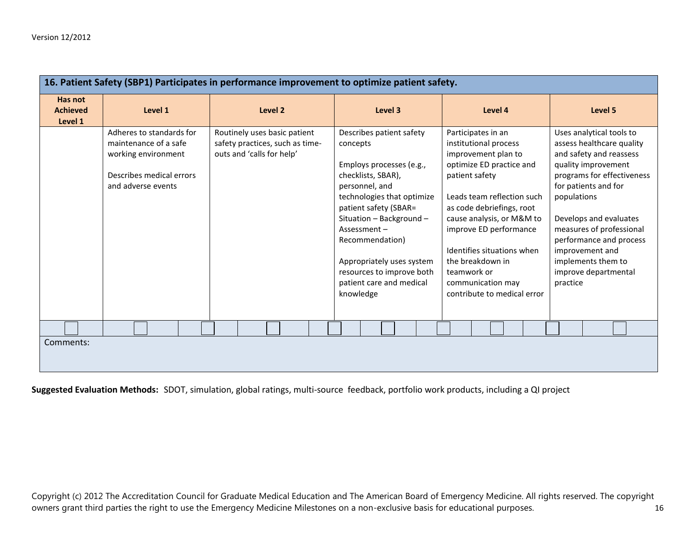|                                       |                                                                                                                            | 16. Patient Safety (SBP1) Participates in performance improvement to optimize patient safety. |                                                                                                                                                                                                                                                                                                                                  |                                                                                                                                                                                                                                                                                                                                                         |                                                                                                                                                                                                                                                                                                                                            |
|---------------------------------------|----------------------------------------------------------------------------------------------------------------------------|-----------------------------------------------------------------------------------------------|----------------------------------------------------------------------------------------------------------------------------------------------------------------------------------------------------------------------------------------------------------------------------------------------------------------------------------|---------------------------------------------------------------------------------------------------------------------------------------------------------------------------------------------------------------------------------------------------------------------------------------------------------------------------------------------------------|--------------------------------------------------------------------------------------------------------------------------------------------------------------------------------------------------------------------------------------------------------------------------------------------------------------------------------------------|
| Has not<br><b>Achieved</b><br>Level 1 | Level 1                                                                                                                    | Level 2                                                                                       | Level 3                                                                                                                                                                                                                                                                                                                          | Level 4                                                                                                                                                                                                                                                                                                                                                 | Level 5                                                                                                                                                                                                                                                                                                                                    |
|                                       | Adheres to standards for<br>maintenance of a safe<br>working environment<br>Describes medical errors<br>and adverse events | Routinely uses basic patient<br>safety practices, such as time-<br>outs and 'calls for help'  | Describes patient safety<br>concepts<br>Employs processes (e.g.,<br>checklists, SBAR),<br>personnel, and<br>technologies that optimize<br>patient safety (SBAR=<br>Situation - Background -<br>Assessment-<br>Recommendation)<br>Appropriately uses system<br>resources to improve both<br>patient care and medical<br>knowledge | Participates in an<br>institutional process<br>improvement plan to<br>optimize ED practice and<br>patient safety<br>Leads team reflection such<br>as code debriefings, root<br>cause analysis, or M&M to<br>improve ED performance<br>Identifies situations when<br>the breakdown in<br>teamwork or<br>communication may<br>contribute to medical error | Uses analytical tools to<br>assess healthcare quality<br>and safety and reassess<br>quality improvement<br>programs for effectiveness<br>for patients and for<br>populations<br>Develops and evaluates<br>measures of professional<br>performance and process<br>improvement and<br>implements them to<br>improve departmental<br>practice |
|                                       |                                                                                                                            |                                                                                               |                                                                                                                                                                                                                                                                                                                                  |                                                                                                                                                                                                                                                                                                                                                         |                                                                                                                                                                                                                                                                                                                                            |
| Comments:                             |                                                                                                                            |                                                                                               |                                                                                                                                                                                                                                                                                                                                  |                                                                                                                                                                                                                                                                                                                                                         |                                                                                                                                                                                                                                                                                                                                            |

**Suggested Evaluation Methods:** SDOT, simulation, global ratings, multi-source feedback, portfolio work products, including a QI project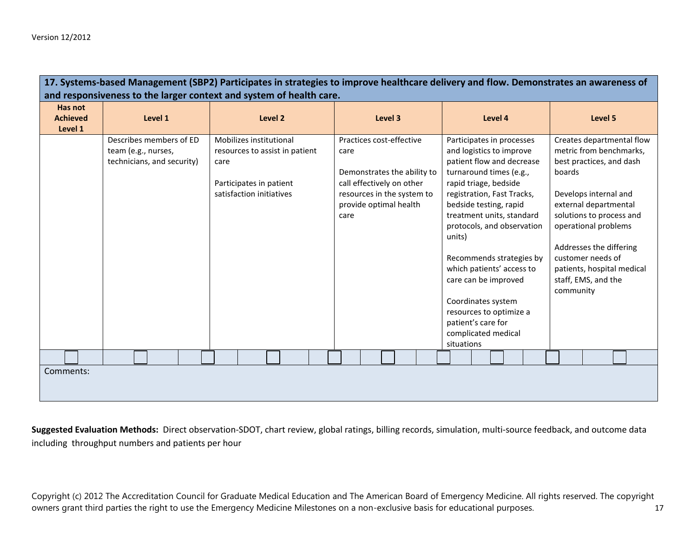|                            |                                                                              | 17. Systems-based Management (SBP2) Participates in strategies to improve healthcare delivery and flow. Demonstrates an awareness of |                                                                                                                                                              |                                                                                                                                                                                                                                                           |                                                                                                                                                                                                  |
|----------------------------|------------------------------------------------------------------------------|--------------------------------------------------------------------------------------------------------------------------------------|--------------------------------------------------------------------------------------------------------------------------------------------------------------|-----------------------------------------------------------------------------------------------------------------------------------------------------------------------------------------------------------------------------------------------------------|--------------------------------------------------------------------------------------------------------------------------------------------------------------------------------------------------|
|                            |                                                                              | and responsiveness to the larger context and system of health care.                                                                  |                                                                                                                                                              |                                                                                                                                                                                                                                                           |                                                                                                                                                                                                  |
| Has not                    |                                                                              |                                                                                                                                      |                                                                                                                                                              |                                                                                                                                                                                                                                                           |                                                                                                                                                                                                  |
| <b>Achieved</b><br>Level 1 | Level 1                                                                      | Level 2                                                                                                                              | Level 3                                                                                                                                                      | Level 4                                                                                                                                                                                                                                                   | Level 5                                                                                                                                                                                          |
|                            | Describes members of ED<br>team (e.g., nurses,<br>technicians, and security) | Mobilizes institutional<br>resources to assist in patient<br>care<br>Participates in patient<br>satisfaction initiatives             | Practices cost-effective<br>care<br>Demonstrates the ability to<br>call effectively on other<br>resources in the system to<br>provide optimal health<br>care | Participates in processes<br>and logistics to improve<br>patient flow and decrease<br>turnaround times (e.g.,<br>rapid triage, bedside<br>registration, Fast Tracks,<br>bedside testing, rapid<br>treatment units, standard<br>protocols, and observation | Creates departmental flow<br>metric from benchmarks,<br>best practices, and dash<br>boards<br>Develops internal and<br>external departmental<br>solutions to process and<br>operational problems |
|                            |                                                                              |                                                                                                                                      |                                                                                                                                                              | units)<br>Recommends strategies by<br>which patients' access to<br>care can be improved<br>Coordinates system<br>resources to optimize a<br>patient's care for<br>complicated medical<br>situations                                                       | Addresses the differing<br>customer needs of<br>patients, hospital medical<br>staff, EMS, and the<br>community                                                                                   |
|                            |                                                                              |                                                                                                                                      |                                                                                                                                                              |                                                                                                                                                                                                                                                           |                                                                                                                                                                                                  |
| Comments:                  |                                                                              |                                                                                                                                      |                                                                                                                                                              |                                                                                                                                                                                                                                                           |                                                                                                                                                                                                  |

**Suggested Evaluation Methods:** Direct observation-SDOT, chart review, global ratings, billing records, simulation, multi-source feedback, and outcome data including throughput numbers and patients per hour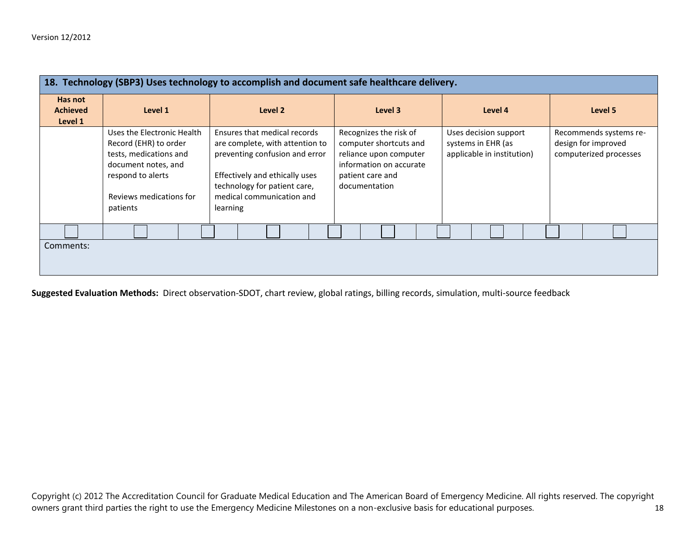|                                       | 18. Technology (SBP3) Uses technology to accomplish and document safe healthcare delivery.                                                                       |                                                                                                                                                                                                              |                                                                                                                                            |                                                                           |                                                                         |  |  |  |  |  |  |  |  |  |
|---------------------------------------|------------------------------------------------------------------------------------------------------------------------------------------------------------------|--------------------------------------------------------------------------------------------------------------------------------------------------------------------------------------------------------------|--------------------------------------------------------------------------------------------------------------------------------------------|---------------------------------------------------------------------------|-------------------------------------------------------------------------|--|--|--|--|--|--|--|--|--|
| Has not<br><b>Achieved</b><br>Level 1 | Level 1                                                                                                                                                          | Level 2                                                                                                                                                                                                      | Level 3                                                                                                                                    | Level 4                                                                   | Level 5                                                                 |  |  |  |  |  |  |  |  |  |
|                                       | Uses the Electronic Health<br>Record (EHR) to order<br>tests, medications and<br>document notes, and<br>respond to alerts<br>Reviews medications for<br>patients | Ensures that medical records<br>are complete, with attention to<br>preventing confusion and error<br>Effectively and ethically uses<br>technology for patient care,<br>medical communication and<br>learning | Recognizes the risk of<br>computer shortcuts and<br>reliance upon computer<br>information on accurate<br>patient care and<br>documentation | Uses decision support<br>systems in EHR (as<br>applicable in institution) | Recommends systems re-<br>design for improved<br>computerized processes |  |  |  |  |  |  |  |  |  |
| Comments:                             |                                                                                                                                                                  |                                                                                                                                                                                                              |                                                                                                                                            |                                                                           |                                                                         |  |  |  |  |  |  |  |  |  |
|                                       |                                                                                                                                                                  |                                                                                                                                                                                                              |                                                                                                                                            |                                                                           |                                                                         |  |  |  |  |  |  |  |  |  |

**Suggested Evaluation Methods:** Direct observation-SDOT, chart review, global ratings, billing records, simulation, multi-source feedback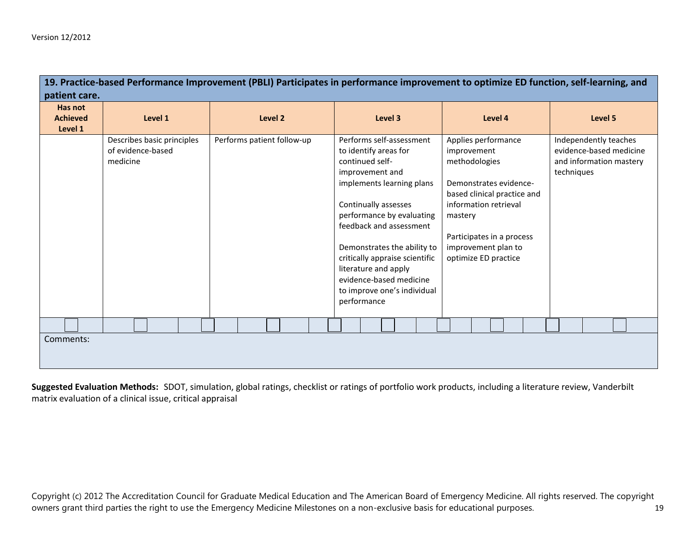| patient care.                                |                                                             | 19. Practice-based Performance Improvement (PBLI) Participates in performance improvement to optimize ED function, self-learning, and |                                                                                                                                                                                                                                                                                                                                                                        |                                                                                                                                                                                                                              |                                                                                           |
|----------------------------------------------|-------------------------------------------------------------|---------------------------------------------------------------------------------------------------------------------------------------|------------------------------------------------------------------------------------------------------------------------------------------------------------------------------------------------------------------------------------------------------------------------------------------------------------------------------------------------------------------------|------------------------------------------------------------------------------------------------------------------------------------------------------------------------------------------------------------------------------|-------------------------------------------------------------------------------------------|
| <b>Has not</b><br><b>Achieved</b><br>Level 1 | Level 1                                                     | Level 2                                                                                                                               | Level 3                                                                                                                                                                                                                                                                                                                                                                | Level 4                                                                                                                                                                                                                      | Level 5                                                                                   |
|                                              | Describes basic principles<br>of evidence-based<br>medicine | Performs patient follow-up                                                                                                            | Performs self-assessment<br>to identify areas for<br>continued self-<br>improvement and<br>implements learning plans<br>Continually assesses<br>performance by evaluating<br>feedback and assessment<br>Demonstrates the ability to<br>critically appraise scientific<br>literature and apply<br>evidence-based medicine<br>to improve one's individual<br>performance | Applies performance<br>improvement<br>methodologies<br>Demonstrates evidence-<br>based clinical practice and<br>information retrieval<br>mastery<br>Participates in a process<br>improvement plan to<br>optimize ED practice | Independently teaches<br>evidence-based medicine<br>and information mastery<br>techniques |
|                                              |                                                             |                                                                                                                                       |                                                                                                                                                                                                                                                                                                                                                                        |                                                                                                                                                                                                                              |                                                                                           |
| Comments:                                    |                                                             |                                                                                                                                       |                                                                                                                                                                                                                                                                                                                                                                        |                                                                                                                                                                                                                              |                                                                                           |

**Suggested Evaluation Methods:** SDOT, simulation, global ratings, checklist or ratings of portfolio work products, including a literature review, Vanderbilt matrix evaluation of a clinical issue, critical appraisal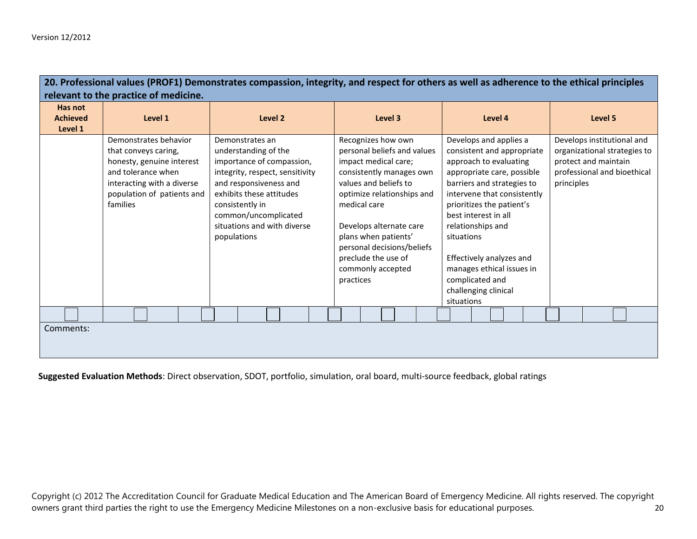|                                       |                                                                                                                                                                          | 20. Professional values (PROF1) Demonstrates compassion, integrity, and respect for others as well as adherence to the ethical principles                                                                                                              |                                                                                                                                                                                                                                                                                                                        |                                                                                                                                                                                                                                                                                                                                                                                     |                                                                                                                                 |
|---------------------------------------|--------------------------------------------------------------------------------------------------------------------------------------------------------------------------|--------------------------------------------------------------------------------------------------------------------------------------------------------------------------------------------------------------------------------------------------------|------------------------------------------------------------------------------------------------------------------------------------------------------------------------------------------------------------------------------------------------------------------------------------------------------------------------|-------------------------------------------------------------------------------------------------------------------------------------------------------------------------------------------------------------------------------------------------------------------------------------------------------------------------------------------------------------------------------------|---------------------------------------------------------------------------------------------------------------------------------|
| Has not<br><b>Achieved</b><br>Level 1 | relevant to the practice of medicine.<br>Level 1                                                                                                                         | Level 2                                                                                                                                                                                                                                                | Level 3                                                                                                                                                                                                                                                                                                                | Level 4                                                                                                                                                                                                                                                                                                                                                                             | Level 5                                                                                                                         |
|                                       | Demonstrates behavior<br>that conveys caring,<br>honesty, genuine interest<br>and tolerance when<br>interacting with a diverse<br>population of patients and<br>families | Demonstrates an<br>understanding of the<br>importance of compassion,<br>integrity, respect, sensitivity<br>and responsiveness and<br>exhibits these attitudes<br>consistently in<br>common/uncomplicated<br>situations and with diverse<br>populations | Recognizes how own<br>personal beliefs and values<br>impact medical care;<br>consistently manages own<br>values and beliefs to<br>optimize relationships and<br>medical care<br>Develops alternate care<br>plans when patients'<br>personal decisions/beliefs<br>preclude the use of<br>commonly accepted<br>practices | Develops and applies a<br>consistent and appropriate<br>approach to evaluating<br>appropriate care, possible<br>barriers and strategies to<br>intervene that consistently<br>prioritizes the patient's<br>best interest in all<br>relationships and<br>situations<br>Effectively analyzes and<br>manages ethical issues in<br>complicated and<br>challenging clinical<br>situations | Develops institutional and<br>organizational strategies to<br>protect and maintain<br>professional and bioethical<br>principles |
|                                       |                                                                                                                                                                          |                                                                                                                                                                                                                                                        |                                                                                                                                                                                                                                                                                                                        |                                                                                                                                                                                                                                                                                                                                                                                     |                                                                                                                                 |
| Comments:                             |                                                                                                                                                                          |                                                                                                                                                                                                                                                        |                                                                                                                                                                                                                                                                                                                        |                                                                                                                                                                                                                                                                                                                                                                                     |                                                                                                                                 |

 **Suggested Evaluation Methods**: Direct observation, SDOT, portfolio, simulation, oral board, multi-source feedback, global ratings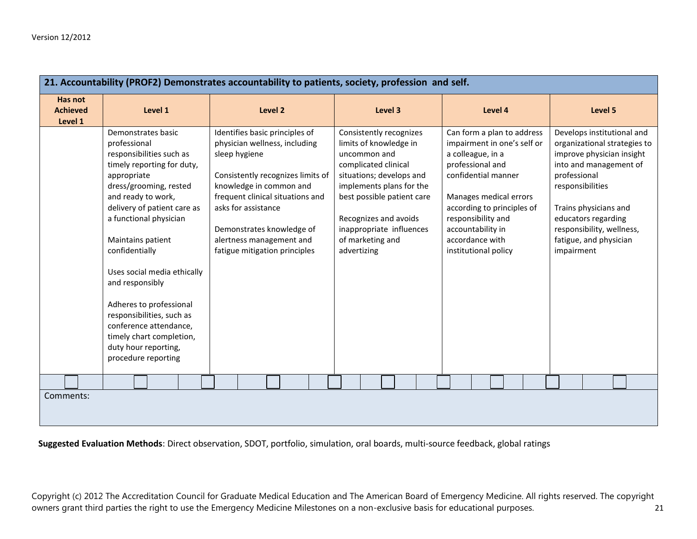| 21. Accountability (PROF2) Demonstrates accountability to patients, society, profession and self. |                                                                                                                                                                                                                                                                                                                                                                                                                                                                            |         |  |                                      |                                                                                                                                                                                                                                                               |             |                                                          |                                                                                                                                                                                              |                                                                                                                                                    |                                                                                                                   |                            |                                                                                                                                                                                                                                              |  |
|---------------------------------------------------------------------------------------------------|----------------------------------------------------------------------------------------------------------------------------------------------------------------------------------------------------------------------------------------------------------------------------------------------------------------------------------------------------------------------------------------------------------------------------------------------------------------------------|---------|--|--------------------------------------|---------------------------------------------------------------------------------------------------------------------------------------------------------------------------------------------------------------------------------------------------------------|-------------|----------------------------------------------------------|----------------------------------------------------------------------------------------------------------------------------------------------------------------------------------------------|----------------------------------------------------------------------------------------------------------------------------------------------------|-------------------------------------------------------------------------------------------------------------------|----------------------------|----------------------------------------------------------------------------------------------------------------------------------------------------------------------------------------------------------------------------------------------|--|
| Has not<br><b>Achieved</b><br>Level 1                                                             |                                                                                                                                                                                                                                                                                                                                                                                                                                                                            | Level 1 |  |                                      | Level 2                                                                                                                                                                                                                                                       |             | Level 3                                                  |                                                                                                                                                                                              |                                                                                                                                                    | Level 4                                                                                                           |                            | Level 5                                                                                                                                                                                                                                      |  |
|                                                                                                   | Demonstrates basic<br>professional<br>responsibilities such as<br>timely reporting for duty,<br>appropriate<br>dress/grooming, rested<br>and ready to work,<br>delivery of patient care as<br>a functional physician<br>Maintains patient<br>confidentially<br>Uses social media ethically<br>and responsibly<br>Adheres to professional<br>responsibilities, such as<br>conference attendance,<br>timely chart completion,<br>duty hour reporting,<br>procedure reporting |         |  | sleep hygiene<br>asks for assistance | Identifies basic principles of<br>physician wellness, including<br>Consistently recognizes limits of<br>knowledge in common and<br>frequent clinical situations and<br>Demonstrates knowledge of<br>alertness management and<br>fatigue mitigation principles | advertizing | uncommon and<br>complicated clinical<br>of marketing and | Consistently recognizes<br>limits of knowledge in<br>situations; develops and<br>implements plans for the<br>best possible patient care<br>Recognizes and avoids<br>inappropriate influences | a colleague, in a<br>professional and<br>confidential manner<br>responsibility and<br>accountability in<br>accordance with<br>institutional policy | Can form a plan to address<br>impairment in one's self or<br>Manages medical errors<br>according to principles of | professional<br>impairment | Develops institutional and<br>organizational strategies to<br>improve physician insight<br>into and management of<br>responsibilities<br>Trains physicians and<br>educators regarding<br>responsibility, wellness,<br>fatigue, and physician |  |
|                                                                                                   |                                                                                                                                                                                                                                                                                                                                                                                                                                                                            |         |  |                                      |                                                                                                                                                                                                                                                               |             |                                                          |                                                                                                                                                                                              |                                                                                                                                                    |                                                                                                                   |                            |                                                                                                                                                                                                                                              |  |
| Comments:                                                                                         |                                                                                                                                                                                                                                                                                                                                                                                                                                                                            |         |  |                                      |                                                                                                                                                                                                                                                               |             |                                                          |                                                                                                                                                                                              |                                                                                                                                                    |                                                                                                                   |                            |                                                                                                                                                                                                                                              |  |

 **Suggested Evaluation Methods**: Direct observation, SDOT, portfolio, simulation, oral boards, multi-source feedback, global ratings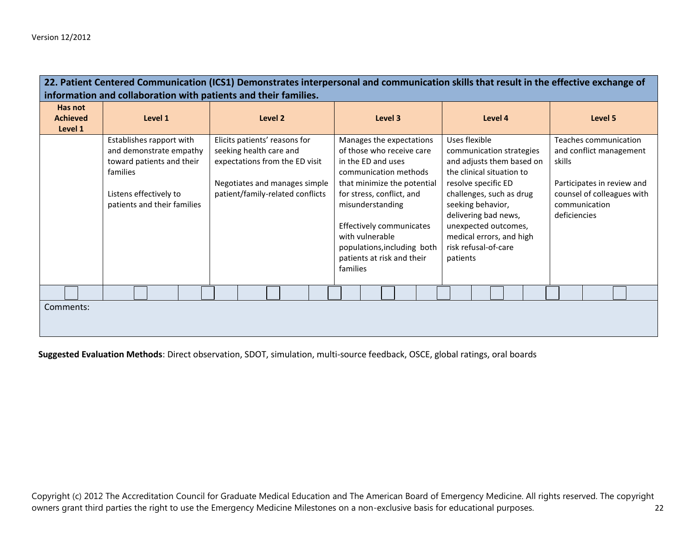|                                       |                                                                                                                                                       | 22. Patient Centered Communication (ICS1) Demonstrates interpersonal and communication skills that result in the effective exchange of<br>information and collaboration with patients and their families. |                                                                                                                                                                                                                                                                                                              |                                                                                                                                                                                                                                                                                             |                                                                                                                                                         |
|---------------------------------------|-------------------------------------------------------------------------------------------------------------------------------------------------------|-----------------------------------------------------------------------------------------------------------------------------------------------------------------------------------------------------------|--------------------------------------------------------------------------------------------------------------------------------------------------------------------------------------------------------------------------------------------------------------------------------------------------------------|---------------------------------------------------------------------------------------------------------------------------------------------------------------------------------------------------------------------------------------------------------------------------------------------|---------------------------------------------------------------------------------------------------------------------------------------------------------|
| Has not<br><b>Achieved</b><br>Level 1 | Level 1                                                                                                                                               | Level 2                                                                                                                                                                                                   | Level 3                                                                                                                                                                                                                                                                                                      | Level 4                                                                                                                                                                                                                                                                                     | Level 5                                                                                                                                                 |
|                                       | Establishes rapport with<br>and demonstrate empathy<br>toward patients and their<br>families<br>Listens effectively to<br>patients and their families | Elicits patients' reasons for<br>seeking health care and<br>expectations from the ED visit<br>Negotiates and manages simple<br>patient/family-related conflicts                                           | Manages the expectations<br>of those who receive care<br>in the ED and uses<br>communication methods<br>that minimize the potential<br>for stress, conflict, and<br>misunderstanding<br>Effectively communicates<br>with vulnerable<br>populations, including both<br>patients at risk and their<br>families | Uses flexible<br>communication strategies<br>and adjusts them based on<br>the clinical situation to<br>resolve specific ED<br>challenges, such as drug<br>seeking behavior,<br>delivering bad news,<br>unexpected outcomes,<br>medical errors, and high<br>risk refusal-of-care<br>patients | Teaches communication<br>and conflict management<br>skills<br>Participates in review and<br>counsel of colleagues with<br>communication<br>deficiencies |
| Comments:                             |                                                                                                                                                       |                                                                                                                                                                                                           |                                                                                                                                                                                                                                                                                                              |                                                                                                                                                                                                                                                                                             |                                                                                                                                                         |

 **Suggested Evaluation Methods**: Direct observation, SDOT, simulation, multi-source feedback, OSCE, global ratings, oral boards